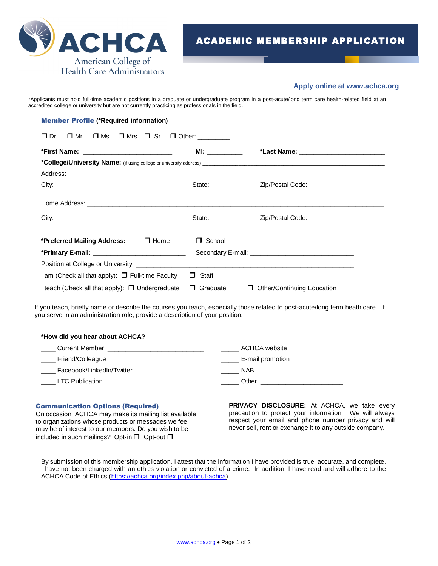

### **Apply online at www.achca.org**

\*Applicants must hold full-time academic positions in a graduate or undergraduate program in a post-acute/long term care health-related field at an accredited college or university but are not currently practicing as professionals in the field.

## Member Profile **(\*Required information)**

| $\square$ Dr. $\square$ Mr. $\square$ Ms. $\square$ Mrs. $\square$ Sr. $\square$ Other: ________ |                                                                                                                                                                                                                                |                                           |
|--------------------------------------------------------------------------------------------------|--------------------------------------------------------------------------------------------------------------------------------------------------------------------------------------------------------------------------------|-------------------------------------------|
| *First Name: _______________________________                                                     | MI: ______________                                                                                                                                                                                                             |                                           |
|                                                                                                  |                                                                                                                                                                                                                                |                                           |
|                                                                                                  |                                                                                                                                                                                                                                |                                           |
|                                                                                                  | State: __________                                                                                                                                                                                                              |                                           |
|                                                                                                  | State: and the state of the state of the state of the state of the state of the state of the state of the state of the state of the state of the state of the state of the state of the state of the state of the state of the | Zip/Postal Code: National According Code: |
| *Preferred Mailing Address: □ Home                                                               | $\Box$ School                                                                                                                                                                                                                  |                                           |
|                                                                                                  |                                                                                                                                                                                                                                |                                           |
|                                                                                                  |                                                                                                                                                                                                                                |                                           |
| $I$ am (Check all that apply): $\Box$ Full-time Faculty                                          | Staff<br>□                                                                                                                                                                                                                     |                                           |
| I teach (Check all that apply): $\Box$ Undergraduate                                             | $\Box$ Graduate<br>$\Box$                                                                                                                                                                                                      | <b>Other/Continuing Education</b>         |

If you teach, briefly name or describe the courses you teach, especially those related to post-acute/long term heath care. If you serve in an administration role, provide a description of your position.

# **\*How did you hear about ACHCA?** \_\_\_\_ Current Member: \_\_\_\_\_\_\_\_\_\_\_\_\_\_\_\_\_\_\_\_\_\_\_\_\_\_\_ \_\_\_\_\_ ACHCA website Let Friend/Colleague the contraction of the set of the E-mail promotion Eacebook/LinkedIn/Twitter **NAB** LTC Publication **Example 2** Other:

#### Communication Options (Required)

On occasion, ACHCA may make its mailing list available to organizations whose products or messages we feel may be of interest to our members. Do you wish to be included in such mailings? Opt-in  $\Box$  Opt-out  $\Box$ 

**PRIVACY DISCLOSURE:** At ACHCA, we take every precaution to protect your information. We will always respect your email and phone number privacy and will never sell, rent or exchange it to any outside company.

By submission of this membership application, I attest that the information I have provided is true, accurate, and complete. I have not been charged with an ethics violation or convicted of a crime. In addition, I have read and will adhere to the ACHCA Code of Ethics [\(https://achca.org/index.php/about-achca\)](https://achca.org/index.php/about-achca).